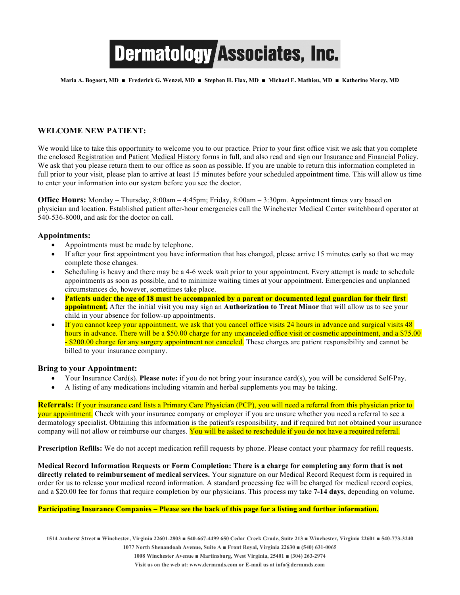# **Dermatology Associates, Inc.**

**Maria A. Bogaert, MD ■ Frederick G. Wenzel, MD ■ Stephen H. Flax, MD ■ Michael E. Mathieu, MD ■ Katherine Mercy, MD**

### **WELCOME NEW PATIENT:**

We would like to take this opportunity to welcome you to our practice. Prior to your first office visit we ask that you complete the enclosed Registration and Patient Medical History forms in full, and also read and sign our Insurance and Financial Policy. We ask that you please return them to our office as soon as possible. If you are unable to return this information completed in full prior to your visit, please plan to arrive at least 15 minutes before your scheduled appointment time. This will allow us time to enter your information into our system before you see the doctor.

**Office Hours:** Monday – Thursday, 8:00am – 4:45pm; Friday, 8:00am – 3:30pm. Appointment times vary based on physician and location. Established patient after-hour emergencies call the Winchester Medical Center switchboard operator at 540-536-8000, and ask for the doctor on call.

#### **Appointments:**

- Appointments must be made by telephone.
- If after your first appointment you have information that has changed, please arrive 15 minutes early so that we may complete those changes.
- Scheduling is heavy and there may be a 4-6 week wait prior to your appointment. Every attempt is made to schedule appointments as soon as possible, and to minimize waiting times at your appointment. Emergencies and unplanned circumstances do, however, sometimes take place.
- **Patients under the age of 18 must be accompanied by a parent or documented legal guardian for their first appointment.** After the initial visit you may sign an **Authorization to Treat Minor** that will allow us to see your child in your absence for follow-up appointments.
- If you cannot keep your appointment, we ask that you cancel office visits 24 hours in advance and surgical visits 48 hours in advance. There will be a \$50.00 charge for any uncanceled office visit or cosmetic appointment, and a \$75.00 - \$200.00 charge for any surgery appointment not canceled. These charges are patient responsibility and cannot be billed to your insurance company.

#### **Bring to your Appointment:**

- Your Insurance Card(s). **Please note:** if you do not bring your insurance card(s), you will be considered Self-Pay.
- A listing of any medications including vitamin and herbal supplements you may be taking.

**Referrals:** If your insurance card lists a Primary Care Physician (PCP), you will need a referral from this physician prior to your appointment. Check with your insurance company or employer if you are unsure whether you need a referral to see a dermatology specialist. Obtaining this information is the patient's responsibility, and if required but not obtained your insurance company will not allow or reimburse our charges. You will be asked to reschedule if you do not have a required referral.

**Prescription Refills:** We do not accept medication refill requests by phone. Please contact your pharmacy for refill requests.

**Medical Record Information Requests or Form Completion: There is a charge for completing any form that is not directly related to reimbursement of medical services.** Your signature on our Medical Record Request form is required in order for us to release your medical record information. A standard processing fee will be charged for medical record copies, and a \$20.00 fee for forms that require completion by our physicians. This process my take **7-14 days**, depending on volume.

#### **Participating Insurance Companies – Please see the back of this page for a listing and further information.**

**1514 Amherst Street ■ Winchester, Virginia 22601-2803 ■ 540-667-4499 650 Cedar Creek Grade, Suite 213 ■ Winchester, Virginia 22601 ■ 540-773-3240**

**1077 North Shenandoah Avenue, Suite A ■ Front Royal, Virginia 22630 ■ (540) 631-0065**

**1008 Winchester Avenue ■ Martinsburg, West Virginia, 25401 ■ (304) 263-2974**

**Visit us on the web at: www.dermmds.com or E-mail us at info@dermmds.com**